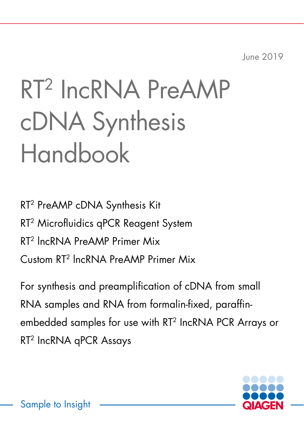June 2019

# RT2 IncRNA PreAMP cDNA Synthesis Handbook

RT2 PreAMP cDNA Synthesis Kit RT<sup>2</sup> Microfluidics qPCR Reagent System RT2 lncRNA PreAMP Primer Mix Custom RT2 lncRNA PreAMP Primer Mix

For synthesis and preamplification of cDNA from small RNA samples and RNA from formalin-fixed, paraffinembedded samples for use with RT2 IncRNA PCR Arrays or RT2 IncRNA qPCR Assays



Sample to Insight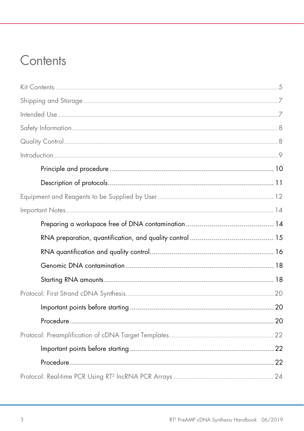## Contents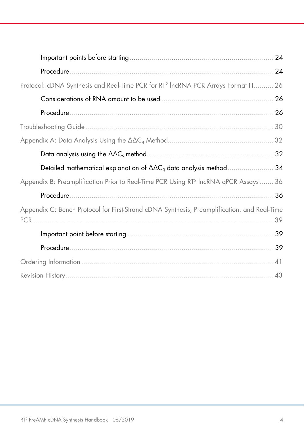| Protocol: cDNA Synthesis and Real-Time PCR for RT <sup>2</sup> IncRNA PCR Arrays Format H 26     |  |
|--------------------------------------------------------------------------------------------------|--|
|                                                                                                  |  |
|                                                                                                  |  |
|                                                                                                  |  |
|                                                                                                  |  |
|                                                                                                  |  |
| Detailed mathematical explanation of $\Delta\Delta C_q$ data analysis method34                   |  |
| Appendix B: Preamplification Prior to Real-Time PCR Using RT <sup>2</sup> IncRNA qPCR Assays  36 |  |
|                                                                                                  |  |
| Appendix C: Bench Protocol for First-Strand cDNA Synthesis, Preamplification, and Real-Time      |  |
|                                                                                                  |  |
|                                                                                                  |  |
|                                                                                                  |  |
|                                                                                                  |  |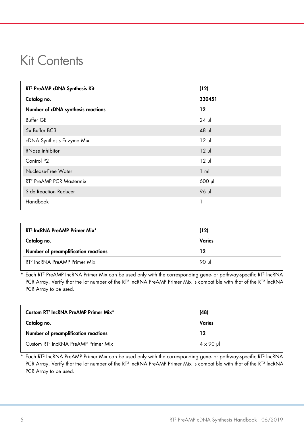## <span id="page-4-0"></span>Kit Contents

| RT <sup>2</sup> PreAMP cDNA Synthesis Kit | (12)           |
|-------------------------------------------|----------------|
| Catalog no.                               | 330451         |
| Number of cDNA synthesis reactions        | 12             |
| <b>Buffer GE</b>                          | $24$ pl        |
| 5x Buffer BC3                             | $48$ pl        |
| cDNA Synthesis Enzyme Mix                 | $12 \mu$       |
| RNase Inhibitor                           | $12 \mu$       |
| Control P <sub>2</sub>                    | $12 \mu$       |
| Nuclease-Free Water                       | $1 \text{ ml}$ |
| RT <sup>2</sup> PreAMP PCR Mastermix      | 600 µl         |
| Side Reaction Reducer                     | 96 µl          |
| Handbook                                  | л              |

| RT <sup>2</sup> IncRNA PreAMP Primer Mix <sup>*</sup> | (12)   |
|-------------------------------------------------------|--------|
| Catalog no.                                           | Varies |
| Number of preamplification reactions                  | 12     |
| RT <sup>2</sup> IncRNA PreAMP Primer Mix              | 90 ul  |

Each RT<sup>2</sup> PreAMP IncRNA Primer Mix can be used only with the corresponding gene- or pathway-specific RT<sup>2</sup> IncRNA PCR Array. Verify that the lot number of the RT<sup>2</sup> IncRNA PreAMP Primer Mix is compatible with that of the RT<sup>2</sup> IncRNA PCR Array to be used.

| Custom RT <sup>2</sup> IncRNA PreAMP Primer Mix <sup>*</sup> | (48)              |
|--------------------------------------------------------------|-------------------|
| Catalog no.                                                  | Varies            |
| Number of preamplification reactions                         | 12                |
| Custom RT <sup>2</sup> IncRNA PreAMP Primer Mix              | $4 \times 90 \mu$ |

Each RT<sup>2</sup> IncRNA PreAMP Primer Mix can be used only with the corresponding gene- or pathway-specific RT<sup>2</sup> lncRNA PCR Array. Verify that the lot number of the RT<sup>2</sup> lncRNA PreAMP Primer Mix is compatible with that of the RT<sup>2</sup> lncRNA PCR Array to be used.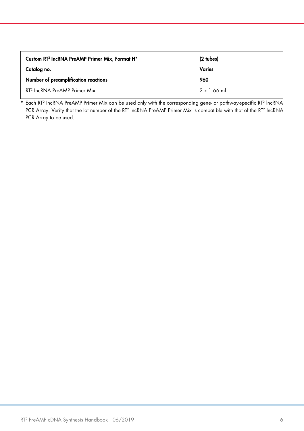| Custom RT <sup>2</sup> IncRNA PreAMP Primer Mix, Format H <sup>*</sup> | $(2 + b)$         |
|------------------------------------------------------------------------|-------------------|
| Catalog no.                                                            | Varies            |
| Number of preamplification reactions                                   | 960               |
| RT <sup>2</sup> IncRNA PreAMP Primer Mix                               | $2 \times 1.66$ m |

Each RT<sup>2</sup> IncRNA PreAMP Primer Mix can be used only with the corresponding gene- or pathway-specific RT<sup>2</sup> lncRNA PCR Array. Verify that the lot number of the RT<sup>2</sup> lncRNA PreAMP Primer Mix is compatible with that of the RT<sup>2</sup> lncRNA PCR Array to be used.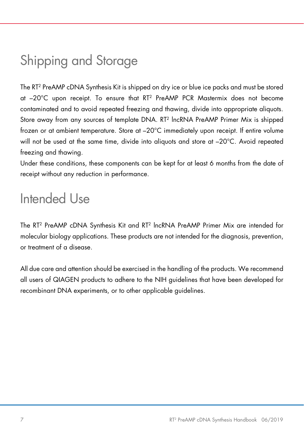## <span id="page-6-0"></span>Shipping and Storage

The RT2 PreAMP cDNA Synthesis Kit is shipped on dry ice or blue ice packs and must be stored at –20°C upon receipt. To ensure that RT2 PreAMP PCR Mastermix does not become contaminated and to avoid repeated freezing and thawing, divide into appropriate aliquots. Store away from any sources of template DNA. RT2 lncRNA PreAMP Primer Mix is shipped frozen or at ambient temperature. Store at –20°C immediately upon receipt. If entire volume will not be used at the same time, divide into aliquots and store at –20°C. Avoid repeated freezing and thawing.

Under these conditions, these components can be kept for at least 6 months from the date of receipt without any reduction in performance.

## <span id="page-6-1"></span>Intended Use

The RT2 PreAMP cDNA Synthesis Kit and RT2 lncRNA PreAMP Primer Mix are intended for molecular biology applications. These products are not intended for the diagnosis, prevention, or treatment of a disease.

All due care and attention should be exercised in the handling of the products. We recommend all users of QIAGEN products to adhere to the NIH guidelines that have been developed for recombinant DNA experiments, or to other applicable guidelines.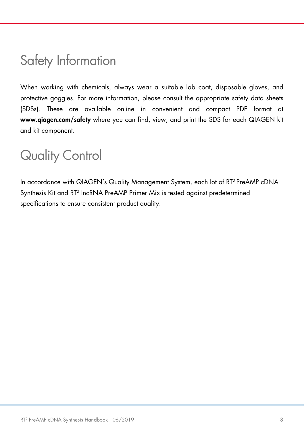## <span id="page-7-0"></span>Safety Information

When working with chemicals, always wear a suitable lab coat, disposable gloves, and protective goggles. For more information, please consult the appropriate safety data sheets (SDSs). These are available online in convenient and compact PDF format at [www.qiagen.com/safety](https://www.qiagen.com/us/service-and-support/qa-qc-safety-data/safety-data-sheets-new/) where you can find, view, and print the SDS for each QIAGEN kit and kit component.

## <span id="page-7-1"></span>Quality Control

In accordance with QIAGEN's Quality Management System, each lot of RT<sup>2</sup> PreAMP cDNA Synthesis Kit and RT2 lncRNA PreAMP Primer Mix is tested against predetermined specifications to ensure consistent product quality.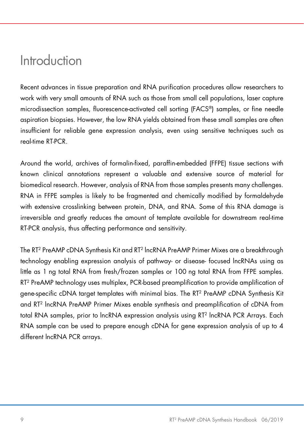## <span id="page-8-0"></span>Introduction

Recent advances in tissue preparation and RNA purification procedures allow researchers to work with very small amounts of RNA such as those from small cell populations, laser capture microdissection samples, fluorescence-activated cell sorting (FACS®) samples, or fine needle aspiration biopsies. However, the low RNA yields obtained from these small samples are often insufficient for reliable gene expression analysis, even using sensitive techniques such as real-time RT-PCR

Around the world, archives of formalin-fixed, paraffin-embedded (FFPE) tissue sections with known clinical annotations represent a valuable and extensive source of material for biomedical research. However, analysis of RNA from those samples presents many challenges. RNA in FFPE samples is likely to be fragmented and chemically modified by formaldehyde with extensive crosslinking between protein, DNA, and RNA. Some of this RNA damage is irreversible and greatly reduces the amount of template available for downstream real-time RT-PCR analysis, thus affecting performance and sensitivity.

The RT2 PreAMP cDNA Synthesis Kit and RT2 lncRNA PreAMP Primer Mixes are a breakthrough technology enabling expression analysis of pathway- or disease focused lncRNAs using as little as 1 ng total RNA from fresh/frozen samples or 100 ng total RNA from FFPE samples. RT2 PreAMP technology uses multiplex, PCR-based preamplification to provide amplification of gene-specific cDNA target templates with minimal bias. The RT2 PreAMP cDNA Synthesis Kit and RT2 lncRNA PreAMP Primer Mixes enable synthesis and preamplification of cDNA from total RNA samples, prior to lncRNA expression analysis using RT2 lncRNA PCR Arrays. Each RNA sample can be used to prepare enough cDNA for gene expression analysis of up to 4 different lncRNA PCR arrays.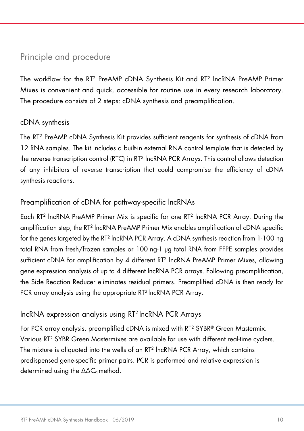### <span id="page-9-0"></span>Principle and procedure

The workflow for the RT2 PreAMP cDNA Synthesis Kit and RT2 lncRNA PreAMP Primer Mixes is convenient and quick, accessible for routine use in every research laboratory. The procedure consists of 2 steps: cDNA synthesis and preamplification.

#### cDNA synthesis

The RT2 PreAMP cDNA Synthesis Kit provides sufficient reagents for synthesis of cDNA from 12 RNA samples. The kit includes a built-in external RNA control template that is detected by the reverse transcription control (RTC) in RT2 lncRNA PCR Arrays. This control allows detection of any inhibitors of reverse transcription that could compromise the efficiency of cDNA synthesis reactions.

#### Preamplification of cDNA for pathway-specific lncRNAs

Each RT2 lncRNA PreAMP Primer Mix is specific for one RT2 lncRNA PCR Array. During the amplification step, the RT2 lncRNA PreAMP Primer Mix enables amplification of cDNA specific for the genes targeted by the RT<sup>2</sup> lncRNA PCR Array. A cDNA synthesis reaction from 1-100 ng total RNA from fresh/frozen samples or 100 ng-1 µg total RNA from FFPE samples provides sufficient cDNA for amplification by 4 different RT<sup>2</sup> lncRNA PreAMP Primer Mixes, allowing gene expression analysis of up to 4 different lncRNA PCR arrays. Following preamplification, the Side Reaction Reducer eliminates residual primers. Preamplified cDNA is then ready for PCR array analysis using the appropriate RT<sup>2</sup> lncRNA PCR Array.

#### lncRNA expression analysis using RT2 lncRNA PCR Arrays

For PCR array analysis, preamplified cDNA is mixed with RT2 SYBR® Green Mastermix. Various RT2 SYBR Green Mastermixes are available for use with different real-time cyclers. The mixture is aliquoted into the wells of an RT<sup>2</sup> lncRNA PCR Array, which contains predispensed gene-specific primer pairs. PCR is performed and relative expression is determined using the  $\Delta\Delta C_{q}$  method.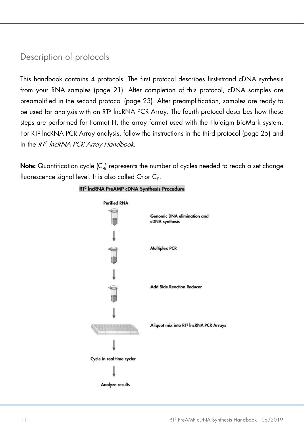### <span id="page-10-0"></span>Description of protocols

This handbook contains 4 protocols. The first protocol describes first-strand cDNA synthesis from your RNA samples [\(page 21\)](#page-20-0). After completion of this protocol, cDNA samples are preamplified in the second protocol [\(page 23\).](#page-22-0) After preamplification, samples are ready to be used for analysis with an RT2 lncRNA PCR Array. The fourth protocol describes how these steps are performed for Format H, the array format used with the Fluidigm BioMark system. For RT2 lncRNA PCR Array analysis, follow the instructions in the third protocol [\(page 25\) a](#page-24-0)nd in the RT<sup>2</sup> lncRNA PCR Array Handbook.

**Note:** Quantification cycle  $|C_{q}|$  represents the number of cycles needed to reach a set change fluorescence signal level. It is also called  $C_I$  or  $C_p$ .



#### RT<sup>2</sup> IncRNA PreAMP cDNA Synthesis Procedure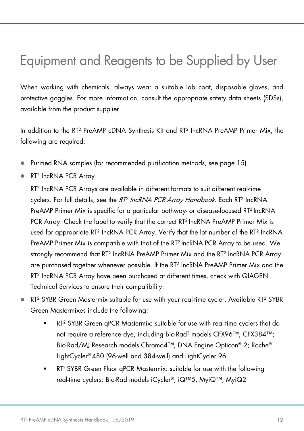## <span id="page-11-0"></span>Equipment and Reagents to be Supplied by User

When working with chemicals, always wear a suitable lab coat, disposable gloves, and protective goggles. For more information, consult the appropriate safety data sheets (SDSs), available from the product supplier.

In addition to the RT<sup>2</sup> PreAMP cDNA Synthesis Kit and RT<sup>2</sup> IncRNA PreAMP Primer Mix, the following are required:

- Purified RNA samples (for recommended purification methods, see [page 15\)](#page-14-1)
- RT<sup>2</sup> IncRNA PCR Array

RT2 IncRNA PCR Arrays are available in different formats to suit different real-time cyclers. For full details, see the RT<sup>2</sup> IncRNA PCR Array Handbook. Each RT<sup>2</sup> IncRNA PreAMP Primer Mix is specific for a particular pathway- or disease-focused RT2 IncRNA PCR Array. Check the label to verify that the correct RT2 IncRNA PreAMP Primer Mix is used for appropriate RT2 IncRNA PCR Array. Verify that the lot number of the RT2 IncRNA PreAMP Primer Mix is compatible with that of the RT2 IncRNA PCR Array to be used. We strongly recommend that RT<sup>2</sup> IncRNA PreAMP Primer Mix and the RT<sup>2</sup> IncRNA PCR Array are purchased together whenever possible. If the RT2 IncRNA PreAMP Primer Mix and the RT2 IncRNA PCR Array have been purchased at different times, check with QIAGEN Technical Services to ensure their compatibility.

- RT2 SYBR Green Mastermix suitable for use with your real-time cycler. Available RT2 SYBR Green Mastermixes include the following:
	- RT<sup>2</sup> SYBR Green qPCR Mastermix: suitable for use with real-time cyclers that do not require a reference dye, including Bio-Rad® models CFX96™, CFX384™; Bio-Rad/MJ Research models Chromo4™, DNA Engine Opticon® 2; Roche® LightCycler® 480 (96-well and 384-well) and LightCycler 96.
	- RT2 SYBR Green Fluor qPCR Mastermix: suitable for use with the following real-time cyclers: Bio-Rad models iCycler®, iQ™5, MyiQ™, MyiQ2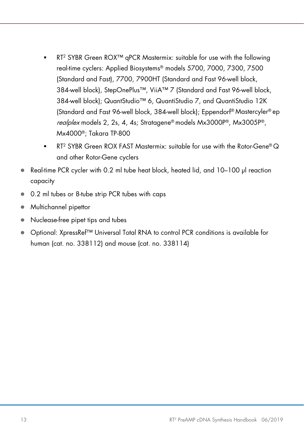- RT2 SYBR Green ROX™ qPCR Mastermix: suitable for use with the following real-time cyclers: Applied Biosystems® models 5700, 7000, 7300, 7500 (Standard and Fast), 7700, 7900HT (Standard and Fast 96-well block, 384-well block), StepOnePlus™, ViiA™ 7 (Standard and Fast 96-well block, 384-well block); QuantStudio™ 6, QuantiStudio 7, and QuantiStudio 12K (Standard and Fast 96-well block, 384-well block); Eppendorf® Mastercyler® ep realplex models 2, 2s, 4, 4s; Stratagene® models Mx3000P®, Mx3005P®, Mx4000®; Takara TP-800
- RT2 SYBR Green ROX FAST Mastermix: suitable for use with the Rotor-Gene® Q and other Rotor-Gene cyclers
- Real-time PCR cycler with 0.2 ml tube heat block, heated lid, and 10–100 µl reaction capacity
- 0.2 ml tubes or 8-tube strip PCR tubes with caps
- Multichannel pipettor
- Nuclease-free pipet tips and tubes
- Optional: XpressRef™ Universal Total RNA to control PCR conditions is available for human (cat. no. 338112) and mouse (cat. no. 338114)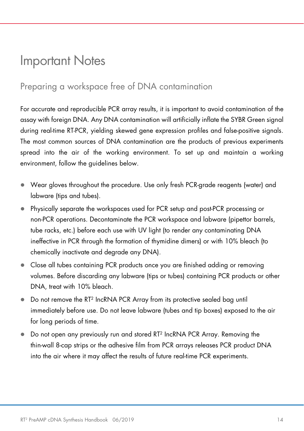## <span id="page-13-2"></span><span id="page-13-0"></span>Important Notes

### <span id="page-13-1"></span>Preparing a workspace free of DNA contamination

For accurate and reproducible PCR array results, it is important to avoid contamination of the assay with foreign DNA. Any DNA contamination will artificially inflate the SYBR Green signal during real-time RT-PCR, yielding skewed gene expression profiles and false-positive signals. The most common sources of DNA contamination are the products of previous experiments spread into the air of the working environment. To set up and maintain a working environment, follow the guidelines below.

- Wear gloves throughout the procedure. Use only fresh PCR-grade reagents (water) and labware (tips and tubes).
- Physically separate the workspaces used for PCR setup and post-PCR processing or non-PCR operations. Decontaminate the PCR workspace and labware (pipettor barrels, tube racks, etc.) before each use with UV light (to render any contaminating DNA ineffective in PCR through the formation of thymidine dimers) or with 10% bleach (to chemically inactivate and degrade any DNA).
- Close all tubes containing PCR products once you are finished adding or removing volumes. Before discarding any labware (tips or tubes) containing PCR products or other DNA, treat with 10% bleach.
- Do not remove the RT<sup>2</sup> IncRNA PCR Array from its protective sealed bag until immediately before use. Do not leave labware (tubes and tip boxes) exposed to the air for long periods of time.
- Do not open any previously run and stored RT<sup>2</sup> IncRNA PCR Array. Removing the thin-wall 8-cap strips or the adhesive film from PCR arrays releases PCR product DNA into the air where it may affect the results of future real-time PCR experiments.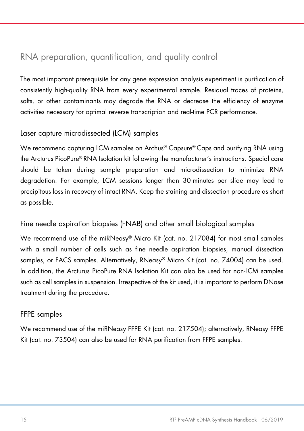### <span id="page-14-1"></span><span id="page-14-0"></span>RNA preparation, quantification, and quality control

The most important prerequisite for any gene expression analysis experiment is purification of consistently high-quality RNA from every experimental sample. Residual traces of proteins, salts, or other contaminants may degrade the RNA or decrease the efficiency of enzyme activities necessary for optimal reverse transcription and real-time PCR performance.

#### Laser capture microdissected (LCM) samples

We recommend capturing LCM samples on Archus® Capsure® Caps and purifying RNA using the Arcturus PicoPure® RNA Isolation kit following the manufacturer's instructions. Special care should be taken during sample preparation and microdissection to minimize RNA degradation. For example, LCM sessions longer than 30 minutes per slide may lead to precipitous loss in recovery of intact RNA. Keep the staining and dissection procedure as short as possible.

#### Fine needle aspiration biopsies (FNAB) and other small biological samples

We recommend use of the miRNeasy® Micro Kit (cat. no. 217084) for most small samples with a small number of cells such as fine needle aspiration biopsies, manual dissection samples, or FACS samples. Alternatively, RNeasy® Micro Kit (cat. no. 74004) can be used. In addition, the Arcturus PicoPure RNA Isolation Kit can also be used for non-LCM samples such as cell samples in suspension. Irrespective of the kit used, it is important to perform DNase treatment during the procedure.

#### FFPE samples

We recommend use of the miRNeasy FFPE Kit (cat. no. 217504); alternatively, RNeasy FFPE Kit (cat. no. 73504) can also be used for RNA purification from FFPE samples.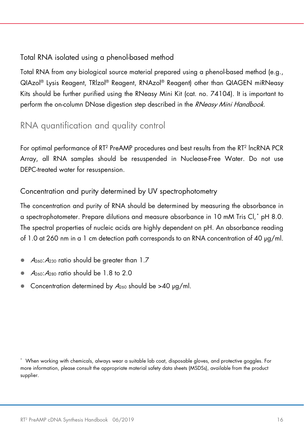#### Total RNA isolated using a phenol-based method

Total RNA from any biological source material prepared using a phenol-based method (e.g., QIAzol® Lysis Reagent, TRlzol® Reagent, RNAzol® Reagent) other than QIAGEN miRNeasy Kits should be further purified using the RNeasy Mini Kit (cat. no. 74104). It is important to perform the on-column DNase digestion step described in the RNeasy Mini Handbook.

### <span id="page-15-0"></span>RNA quantification and quality control

For optimal performance of RT2 PreAMP procedures and best results from the RT2 lncRNA PCR Array, all RNA samples should be resuspended in NucleaseFree Water. Do not use DEPC-treated water for resuspension.

#### Concentration and purity determined by UV spectrophotometry

The concentration and purity of RNA should be determined by measuring the absorbance in a spectrophotometer. Prepare dilutions and measure absorbance in 10 mM Tris Cl,[\\*](#page-15-1) pH 8.0. The spectral properties of nucleic acids are highly dependent on pH. An absorbance reading of 1.0 at 260 nm in a 1 cm detection path corresponds to an RNA concentration of 40 µg/ml.

- $A_{260}$ : $A_{230}$  ratio should be greater than 1.7
- A260:A<sup>280</sup> ratio should be 1.8 to 2.0
- Concentration determined by  $A_{260}$  should be >40 µg/ml.

<span id="page-15-1"></span><sup>\*</sup> When working with chemicals, always wear a suitable lab coat, disposable gloves, and protective goggles. For more information, please consult the appropriate material safety data sheets (MSDSs), available from the product supplier.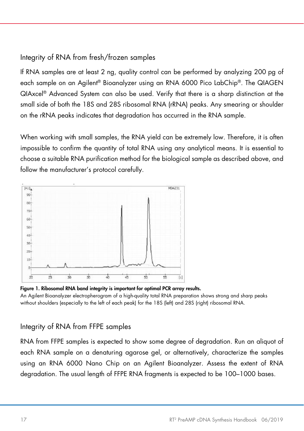#### Integrity of RNA from fresh/frozen samples

If RNA samples are at least 2 ng, quality control can be performed by analyzing 200 pg of each sample on an Agilent® Bioanalyzer using an RNA 6000 Pico LabChip®. The QIAGEN QIAxcel® Advanced System can also be used. Verify that there is a sharp distinction at the small side of both the 18S and 28S ribosomal RNA (rRNA) peaks. Any smearing or shoulder on the rRNA peaks indicates that degradation has occurred in the RNA sample.

When working with small samples, the RNA yield can be extremely low. Therefore, it is often impossible to confirm the quantity of total RNA using any analytical means. It is essential to choose a suitable RNA purification method for the biological sample as described above, and follow the manufacturer's protocol carefully.



Figure 1. Ribosomal RNA band integrity is important for optimal PCR array results.

An Agilent Bioanalyzer electropherogram of a high-quality total RNA preparation shows strong and sharp peaks without shoulders (especially to the left of each peak) for the 18S (left) and 28S (right) ribosomal RNA.

#### Integrity of RNA from FFPE samples

RNA from FFPE samples is expected to show some degree of degradation. Run an aliquot of each RNA sample on a denaturing agarose gel, or alternatively, characterize the samples using an RNA 6000 Nano Chip on an Agilent Bioanalyzer. Assess the extent of RNA degradation. The usual length of FFPE RNA fragments is expected to be 100–1000 bases.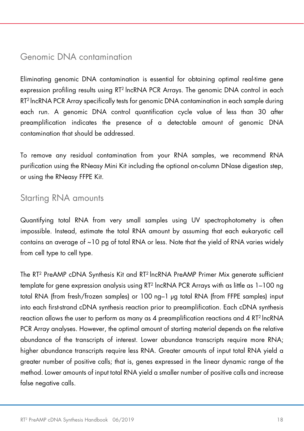#### <span id="page-17-0"></span>Genomic DNA contamination

Eliminating genomic DNA contamination is essential for obtaining optimal real-time gene expression profiling results using RT<sup>2</sup> lncRNA PCR Arrays. The genomic DNA control in each RT2 lncRNA PCR Array specifically tests for genomic DNA contamination in each sample during each run. A genomic DNA control quantification cycle value of less than 30 after preamplification indicates the presence of a detectable amount of genomic DNA contamination that should be addressed.

To remove any residual contamination from your RNA samples, we recommend RNA purification using the RNeasy Mini Kit including the optional on-column DNase digestion step, or using the RNeasy FFPE Kit.

#### <span id="page-17-1"></span>Starting RNA amounts

Quantifying total RNA from very small samples using UV spectrophotometry is often impossible. Instead, estimate the total RNA amount by assuming that each eukaryotic cell contains an average of ~10 pg of total RNA or less. Note that the yield of RNA varies widely from cell type to cell type.

The RT2 PreAMP cDNA Synthesis Kit and RT2 lncRNA PreAMP Primer Mix generate sufficient template for gene expression analysis using RT<sup>2</sup> lncRNA PCR Arrays with as little as 1-100 ng total RNA (from fresh/frozen samples) or 100 ng–1 µg total RNA (from FFPE samples) input into each first-strand cDNA synthesis reaction prior to preamplification. Each cDNA synthesis reaction allows the user to perform as many as 4 preamplification reactions and 4  $RT<sup>2</sup>$  lncRNA PCR Array analyses. However, the optimal amount of starting material depends on the relative abundance of the transcripts of interest. Lower abundance transcripts require more RNA; higher abundance transcripts require less RNA. Greater amounts of input total RNA yield a greater number of positive calls; that is, genes expressed in the linear dynamic range of the method. Lower amounts of input total RNA yield a smaller number of positive calls and increase false negative calls.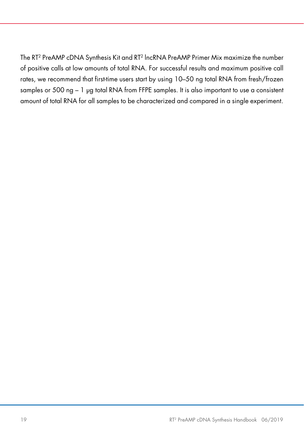The RT2 PreAMP cDNA Synthesis Kit and RT2 lncRNA PreAMP Primer Mix maximize the number of positive calls at low amounts of total RNA. For successful results and maximum positive call rates, we recommend that first-time users start by using 10–50 ng total RNA from fresh/frozen samples or 500 ng - 1 µg total RNA from FFPE samples. It is also important to use a consistent amount of total RNA for all samples to be characterized and compared in a single experiment.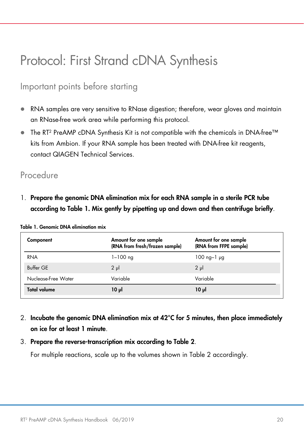## <span id="page-19-4"></span><span id="page-19-0"></span>Protocol: First Strand cDNA Synthesis

### <span id="page-19-1"></span>Important points before starting

- RNA samples are very sensitive to RNase digestion; therefore, wear gloves and maintain an RNase-free work area while performing this protocol.
- The RT2 PreAMP cDNA Synthesis Kit is not compatible with the chemicals in DNA-free™ kits from Ambion. If your RNA sample has been treated with DNA-free kit reagents, contact QIAGEN Technical Services.

#### <span id="page-19-2"></span>Procedure

1. Prepare the genomic DNA elimination mix for each RNA sample in a sterile PCR tube according to [Table 1.](#page-19-3) Mix gently by pipetting up and down and then centrifuge briefly.

| Component           | Amount for one sample<br>(RNA from fresh/frozen sample) | Amount for one sample<br>(RNA from FFPE sample) |
|---------------------|---------------------------------------------------------|-------------------------------------------------|
| <b>RNA</b>          | $1 - 100$ ng                                            | $100$ ng-1 $\mu$ g                              |
| <b>Buffer GE</b>    | $2 \mu$                                                 | 2 <sub>µ</sub>                                  |
| Nuclease-Free Water | Variable                                                | Variable                                        |
| <b>Total volume</b> | $10 \mu$                                                | $10 \mu$                                        |

<span id="page-19-3"></span>Table 1. Genomic DNA elimination mix

2. Incubate the genomic DNA elimination mix at 42°C for 5 minutes, then place immediately on ice for at least 1 minute.

#### 3. Prepare the reverse-transcription mix according to Table 2.

For multiple reactions, scale up to the volumes shown in [Table 2](#page-20-1) accordingly.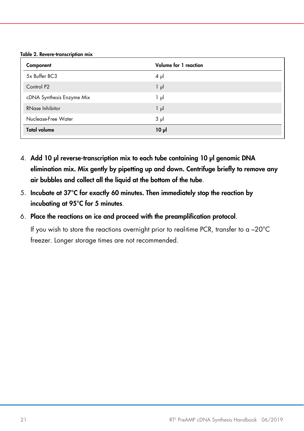<span id="page-20-1"></span><span id="page-20-0"></span>Table 2. Revere-transcription mix

| Component                 | Volume for 1 reaction |
|---------------------------|-----------------------|
| 5x Buffer BC3             | $4 \mu$               |
| Control P <sub>2</sub>    | $1 \mu$               |
| cDNA Synthesis Enzyme Mix | 1 μΙ                  |
| RNase Inhibitor           | $1 \mu$               |
| Nuclease-Free Water       | $3 \mu$               |
| <b>Total volume</b>       | $10 \mu$              |

- 4. Add 10 µl reverse-transcription mix to each tube containing 10 µl genomic DNA elimination mix. Mix gently by pipetting up and down. Centrifuge briefly to remove any air bubbles and collect all the liquid at the bottom of the tube.
- 5. Incubate at 37°C for exactly 60 minutes. Then immediately stop the reaction by incubating at 95°C for 5 minutes.
- 6. Place the reactions on ice and proceed with the preamplification protocol.

If you wish to store the reactions overnight prior to real-time PCR, transfer to a –20°C freezer. Longer storage times are not recommended.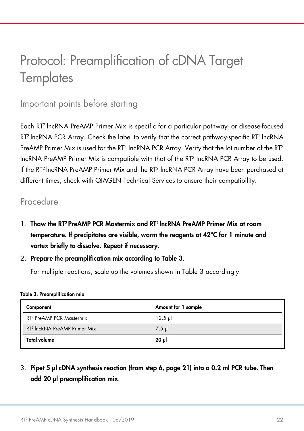## <span id="page-21-0"></span>Protocol: Preamplification of cDNA Target **Templates**

#### <span id="page-21-1"></span>Important points before starting

Each RT2 lncRNA PreAMP Primer Mix is specific for a particular pathway- or disease-focused RT<sup>2</sup> lncRNA PCR Array. Check the label to verify that the correct pathway-specific RT<sup>2</sup> lncRNA PreAMP Primer Mix is used for the RT<sup>2</sup> lncRNA PCR Array. Verify that the lot number of the RT<sup>2</sup> lncRNA PreAMP Primer Mix is compatible with that of the RT2 lncRNA PCR Array to be used. If the RT2 lncRNA PreAMP Primer Mix and the RT2 lncRNA PCR Array have been purchased at different times, check with QIAGEN Technical Services to ensure their compatibility.

#### <span id="page-21-2"></span>Procedure

- 1. Thaw the RT2 PreAMP PCR Mastermix and RT2 lncRNA PreAMP Primer Mix at room temperature. If precipitates are visible, warm the reagents at 42°C for 1 minute and vortex briefly to dissolve. Repeat if necessary.
- 2. Prepare the preamplification mix according to [Table 3](#page-21-3).

For multiple reactions, scale up the volumes shown in [Table 3](#page-21-3) accordingly.

<span id="page-21-3"></span>

|  |  | <b>Table 3. Preamplification mix</b> |  |
|--|--|--------------------------------------|--|
|--|--|--------------------------------------|--|

| Component                                | Amount for 1 sample |
|------------------------------------------|---------------------|
| RT <sup>2</sup> PreAMP PCR Mastermix     | $12.5$ pl           |
| RT <sup>2</sup> IncRNA PreAMP Primer Mix | $7.5 \mu$           |
| <b>Total volume</b>                      | ار 20               |

#### 3. Pipet 5 µl cDNA synthesis reaction (from step 6, [page 21\)](#page-20-0) into a 0.2 ml PCR tube. Then add 20 µl preamplification mix.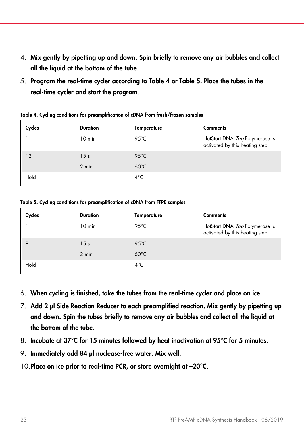- <span id="page-22-0"></span>4. Mix gently by pipetting up and down. Spin briefly to remove any air bubbles and collect all the liquid at the bottom of the tube.
- 5. Program the real-time cycler according to Table 4 or Table 5. Place the tubes in the real-time cycler and start the program.

| Cycles | <b>Duration</b> | Temperature    | <b>Comments</b>                                                   |
|--------|-----------------|----------------|-------------------------------------------------------------------|
|        | $10$ min        | 95 $°C$        | HotStart DNA Taq Polymerase is<br>activated by this heating step. |
| 12     | 15 <sub>s</sub> | $95^{\circ}$ C |                                                                   |
|        | $2 \text{ min}$ | $60^{\circ}$ C |                                                                   |
| Hold   |                 | $4^{\circ}$ C  |                                                                   |

Table 4. Cycling conditions for preamplification of cDNA from fresh/frozen samples

Table 5. Cycling conditions for preamplification of cDNA from FFPE samples

| Cycles                   | <b>Duration</b>  | Temperature    | <b>Comments</b>                                                   |
|--------------------------|------------------|----------------|-------------------------------------------------------------------|
|                          | $10 \text{ min}$ | 95 $°C$        | HotStart DNA Taq Polymerase is<br>activated by this heating step. |
| $\overline{\phantom{a}}$ | 15 <sub>s</sub>  | $95^{\circ}$ C |                                                                   |
|                          | $2 \text{ min}$  | $60^{\circ}$ C |                                                                   |
| Hold                     |                  | $4^{\circ}$ C  |                                                                   |

- 6. When cycling is finished, take the tubes from the real-time cycler and place on ice.
- 7. Add 2 µl Side Reaction Reducer to each preamplified reaction. Mix gently by pipetting up and down. Spin the tubes briefly to remove any air bubbles and collect all the liquid at the bottom of the tube.
- 8. Incubate at 37°C for 15 minutes followed by heat inactivation at 95°C for 5 minutes.
- 9. Immediately add 84 µl nuclease-free water. Mix well.
- 10. Place on ice prior to real-time PCR, or store overnight at -20°C.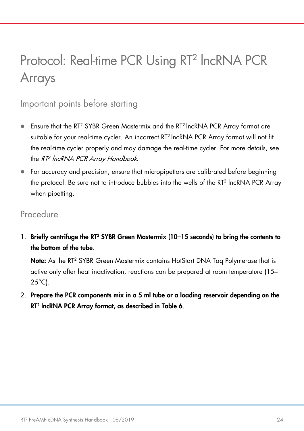## <span id="page-23-0"></span>Protocol: Real-time PCR Using RT<sup>2</sup> IncRNA PCR Arrays

### <span id="page-23-1"></span>Important points before starting

- Ensure that the RT<sup>2</sup> SYBR Green Mastermix and the RT<sup>2</sup> lncRNA PCR Array format are suitable for your real-time cycler. An incorrect RT2 lncRNA PCR Array format will not fit the real-time cycler properly and may damage the real-time cycler. For more details, see the RT<sup>2</sup> IncRNA PCR Array Handbook.
- For accuracy and precision, ensure that micropipettors are calibrated before beginning the protocol. Be sure not to introduce bubbles into the wells of the RT2 lncRNA PCR Array when pipetting.

#### <span id="page-23-2"></span>Procedure

1. Briefly centrifuge the RT<sup>2</sup> SYBR Green Mastermix (10-15 seconds) to bring the contents to the bottom of the tube.

Note: As the RT<sup>2</sup> SYBR Green Mastermix contains HotStart DNA Tag Polymerase that is active only after heat inactivation, reactions can be prepared at room temperature (15–  $25^{\circ}$ C).

2. Prepare the PCR components mix in a 5 ml tube or a loading reservoir depending on the RT2 lncRNA PCR Array format, as described in [Table 6](#page-24-1).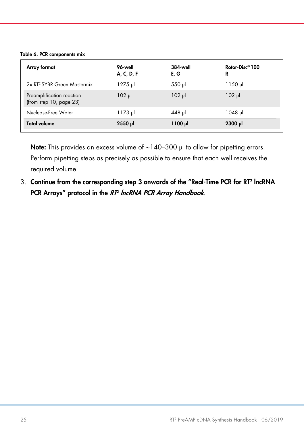#### <span id="page-24-1"></span><span id="page-24-0"></span>Table 6. PCR components mix

| Array format                                               | 96-well<br>A, C, D, F | <b>384-well</b><br>E, G | Rotor-Disc <sup>®</sup> 100<br>R |
|------------------------------------------------------------|-----------------------|-------------------------|----------------------------------|
| 2x RT <sup>2</sup> SYBR Green Mastermix                    | 1275 µl               | 550 µl                  | 1150 µl                          |
| Preamplification reaction<br>(from step $10$ , page $23$ ) | $102$ µ               | $102$ µ                 | $102$ pl                         |
| Nuclease-Free Water                                        | 1173 µl               | 448 µl                  | 1048 µl                          |
| <b>Total volume</b>                                        | 2550 µl               | ار 1100                 | 2300 µl                          |

Note: This provides an excess volume of ~140-300 µl to allow for pipetting errors. Perform pipetting steps as precisely as possible to ensure that each well receives the required volume.

3. Continue from the corresponding step 3 onwards of the "Real-Time PCR for RT2 lncRNA PCR Arrays" protocol in the RT<sup>2</sup> IncRNA PCR Array Handbook.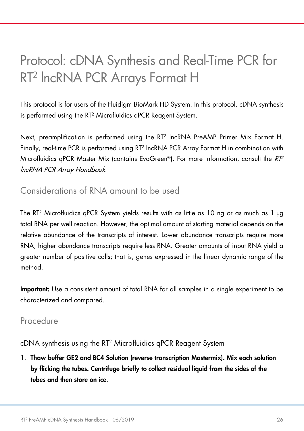## <span id="page-25-0"></span>Protocol: cDNA Synthesis and Real-Time PCR for RT2 lncRNA PCR Arrays Format H

This protocol is for users of the Fluidigm BioMark HD System. In this protocol, cDNA synthesis is performed using the RT2 Microfluidics qPCR Reagent System.

Next, preamplification is performed using the RT2 lncRNA PreAMP Primer Mix Format H. Finally, real-time PCR is performed using RT2 lncRNA PCR Array Format H in combination with Microfluidics qPCR Master Mix (contains EvaGreen®). For more information, consult the  $RP^2$ lncRNA PCR Array Handbook.

### <span id="page-25-1"></span>Considerations of RNA amount to be used

The RT<sup>2</sup> Microfluidics qPCR System yields results with as little as 10 ng or as much as 1 µg total RNA per well reaction. However, the optimal amount of starting material depends on the relative abundance of the transcripts of interest. Lower abundance transcripts require more RNA; higher abundance transcripts require less RNA. Greater amounts of input RNA yield a greater number of positive calls; that is, genes expressed in the linear dynamic range of the method.

Important: Use a consistent amount of total RNA for all samples in a single experiment to be characterized and compared.

#### <span id="page-25-2"></span>Procedure

cDNA synthesis using the RT2 Microfluidics qPCR Reagent System

1. Thaw buffer GE2 and BC4 Solution (reverse transcription Mastermix). Mix each solution by flicking the tubes. Centrifuge briefly to collect residual liquid from the sides of the tubes and then store on ice.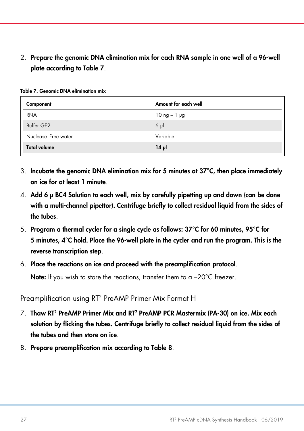2. Prepare the genomic DNA elimination mix for each RNA sample in one well of a 96-well plate according to [Table 7](#page-26-0).

| Component           | Amount for each well           |
|---------------------|--------------------------------|
| <b>RNA</b>          | $10 \text{ ng} - 1 \text{ pg}$ |
| Buffer GE2          | $6 \mu$                        |
| Nuclease-Free water | Variable                       |
| <b>Total volume</b> | 14 pl                          |

<span id="page-26-0"></span>Table 7. Genomic DNA elimination mix

- 3. Incubate the genomic DNA elimination mix for 5 minutes at  $37^{\circ}$ C, then place immediately on ice for at least 1 minute.
- 4. Add 6 µ BC4 Solution to each well, mix by carefully pipetting up and down (can be done with a multi-channel pipettor). Centrifuge briefly to collect residual liquid from the sides of the tubes.
- 5. Program a thermal cycler for a single cycle as follows: 37°C for 60 minutes, 95°C for 5 minutes, 4°C hold. Place the 96-well plate in the cycler and run the program. This is the reverse transcription step.
- 6. Place the reactions on ice and proceed with the preamplification protocol.

Note: If you wish to store the reactions, transfer them to a -20°C freezer.

Preamplification using RT2 PreAMP Primer Mix Format H

- 7. Thaw RT2 PreAMP Primer Mix and RT2 PreAMP PCR Mastermix (PA-30) on ice. Mix each solution by flicking the tubes. Centrifuge briefly to collect residual liquid from the sides of the tubes and then store on ice.
- 8. Prepare preamplification mix according to [Table 8](#page-27-0).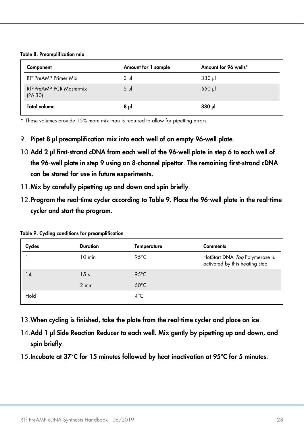<span id="page-27-0"></span>

|  |  |  | Table 8. Preamplification mix |
|--|--|--|-------------------------------|
|--|--|--|-------------------------------|

| Component                                         | Amount for 1 sample | Amount for 96 wells* |
|---------------------------------------------------|---------------------|----------------------|
| RT <sup>2</sup> PreAMP Primer Mix                 | $3 \mu$             | $330$ pl             |
| RT <sup>2</sup> PreAMP PCR Mastermix<br>$(PA-30)$ | $5 \mu$             | $550$ pl             |
| <b>Total volume</b>                               | ار 8                | <b>880</b> µl        |

\* These volumes provide 15% more mix than is required to allow for pipetting errors.

- 9. Pipet 8 µl preamplification mix into each well of an empty 96-well plate.
- 10.Add 2 µl first-strand cDNA from each well of the 96-well plate in step 6 to each well of the 96-well plate in step 9 using an 8-channel pipettor. The remaining first-strand cDNA can be stored for use in future experiments.
- 11.Mix by carefully pipetting up and down and spin briefly.
- 12.Program the real-time cycler according t[o Table 9.](#page-27-1) Place the 96-well plate in the real-time cycler and start the program.

| Cycles | <b>Duration</b>  | Temperature    | <b>Comments</b>                                                   |
|--------|------------------|----------------|-------------------------------------------------------------------|
|        | $10 \text{ min}$ | 95 $°C$        | HotStart DNA Tag Polymerase is<br>activated by this heating step. |
| 14     | 15 <sub>s</sub>  | $95^{\circ}$ C |                                                                   |
|        | 2 min            | $60^{\circ}$ C |                                                                   |
| Hold   |                  | $4^{\circ}$ C  |                                                                   |

<span id="page-27-1"></span>Table 9. Cycling conditions for preamplification

- 13.When cycling is finished, take the plate from the real-time cycler and place on ice.
- 14.Add 1 µl Side Reaction Reducer to each well. Mix gently by pipetting up and down, and spin briefly.
- 15.Incubate at 37°C for 15 minutes followed by heat inactivation at 95°C for 5 minutes.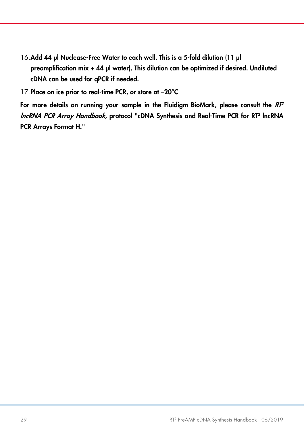- 16.Add 44 µl Nuclease-Free Water to each well. This is a 5-fold dilution (11 µl preamplification mix + 44 µl water). This dilution can be optimized if desired. Undiluted cDNA can be used for qPCR if needed.
- 17. Place on ice prior to real-time PCR, or store at -20°C.

For more details on running your sample in the Fluidigm BioMark, please consult the  $RT^2$ lncRNA PCR Array Handbook, protocol "cDNA Synthesis and Real-Time PCR for RT2 lncRNA PCR Arrays Format H."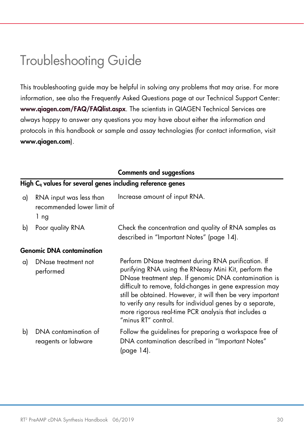## <span id="page-29-0"></span>Troubleshooting Guide

This troubleshooting guide may be helpful in solving any problems that may arise. For more information, see also the Frequently Asked Questions page at our Technical Support Center: [www.qiagen.com/FAQ/FAQlist.aspx](https://www.qiagen.com/us/support/faqs/?akamai-feo=off). The scientists in QIAGEN Technical Services are always happy to answer any questions you may have about either the information and protocols in this handbook or sample and assay technologies (for contact information, visit [www.qiagen.com](http://www.qiagen.com/)).

|    |                                                                        | <b>Comments and suggestions</b>                                                                                                                                                                                                                                                                                                                                                                                                            |
|----|------------------------------------------------------------------------|--------------------------------------------------------------------------------------------------------------------------------------------------------------------------------------------------------------------------------------------------------------------------------------------------------------------------------------------------------------------------------------------------------------------------------------------|
|    | High C <sub>a</sub> values for several genes including reference genes |                                                                                                                                                                                                                                                                                                                                                                                                                                            |
| a) | RNA input was less than<br>recommended lower limit of<br>1 ng          | Increase amount of input RNA.                                                                                                                                                                                                                                                                                                                                                                                                              |
| b) | Poor quality RNA                                                       | Check the concentration and quality of RNA samples as<br>described in "Important Notes" (page 14).                                                                                                                                                                                                                                                                                                                                         |
|    | <b>Genomic DNA contamination</b>                                       |                                                                                                                                                                                                                                                                                                                                                                                                                                            |
| a) | DNase treatment not<br>performed                                       | Perform DNase treatment during RNA purification. If<br>purifying RNA using the RNeasy Mini Kit, perform the<br>DNase treatment step. If genomic DNA contamination is<br>difficult to remove, fold-changes in gene expression may<br>still be obtained. However, it will then be very important<br>to verify any results for individual genes by a separate,<br>more rigorous real-time PCR analysis that includes a<br>"minus RT" control. |
| b) | DNA contamination of<br>reagents or labware                            | Follow the guidelines for preparing a workspace free of<br>DNA contamination described in "Important Notes"<br>(page 14).                                                                                                                                                                                                                                                                                                                  |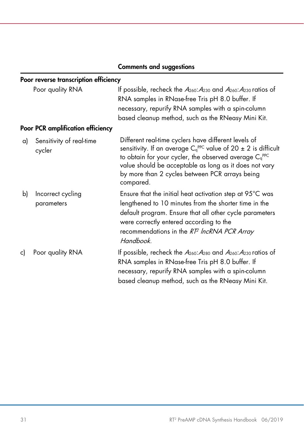#### Comments and suggestions

#### Poor reverse transcription efficiency

|    | Poor quality RNA                         | If possible, recheck the $A_{260}$ : $A_{230}$ and $A_{260}$ : $A_{230}$ ratios of<br>RNA samples in RNase-free Tris pH 8.0 buffer. If<br>necessary, repurify RNA samples with a spin-column<br>based cleanup method, such as the RNeasy Mini Kit.                                                                      |
|----|------------------------------------------|-------------------------------------------------------------------------------------------------------------------------------------------------------------------------------------------------------------------------------------------------------------------------------------------------------------------------|
|    | <b>Poor PCR amplification efficiency</b> |                                                                                                                                                                                                                                                                                                                         |
| a) | Sensitivity of real-time<br>cycler       | Different real-time cyclers have different levels of<br>sensitivity. If an average $C_q^{PPC}$ value of 20 $\pm$ 2 is difficult<br>to obtain for your cycler, the observed average $C_q^{PPC}$<br>value should be acceptable as long as it does not vary<br>by more than 2 cycles between PCR arrays being<br>compared. |
| b) | Incorrect cycling<br>parameters          | Ensure that the initial heat activation step at 95°C was<br>lengthened to 10 minutes from the shorter time in the<br>default program. Ensure that all other cycle parameters<br>were correctly entered according to the<br>recommendations in the RT <sup>2</sup> IncRNA PCR Array<br>Handbook.                         |
| c) | Poor quality RNA                         | If possible, recheck the $A_{260}$ : $A_{280}$ and $A_{260}$ : $A_{230}$ ratios of<br>RNA samples in RNase-free Tris pH 8.0 buffer. If<br>necessary, repurify RNA samples with a spin-column<br>based cleanup method, such as the RNeasy Mini Kit.                                                                      |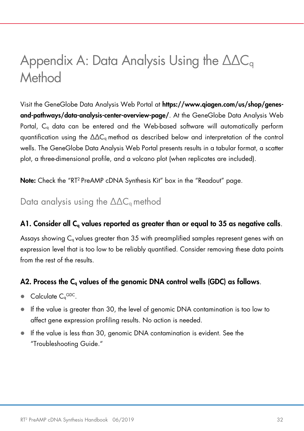## <span id="page-31-0"></span>Appendix A: Data Analysis Using the ∆∆C<sub>q</sub> Method

Visit the GeneGlobe Data Analysis Web Portal at [https://www.qiagen.com/us/shop/genes](https://www.qiagen.com/us/shop/genes-and-pathways/data-analysis-center-overview-page/)[and-pathways/data-analysis-center-overview-page/](https://www.qiagen.com/us/shop/genes-and-pathways/data-analysis-center-overview-page/). At the GeneGlobe Data Analysis Web Portal, C<sub>q</sub> data can be entered and the Web-based software will automatically perform quantification using the  $ΔΔC<sub>g</sub>$  method as described below and interpretation of the control wells. The GeneGlobe Data Analysis Web Portal presents results in a tabular format, a scatter plot, a three-dimensional profile, and a volcano plot (when replicates are included).

Note: Check the "RT2 PreAMP cDNA Synthesis Kit" box in the "Readout" page.

<span id="page-31-1"></span>Data analysis using the  $\Delta\Delta C_q$  method

#### A1. Consider all  $C<sub>a</sub>$  values reported as greater than or equal to 35 as negative calls.

Assays showing  $C_q$  values greater than 35 with preamplified samples represent genes with an expression level that is too low to be reliably quantified. Consider removing these data points from the rest of the results.

#### A2. Process the C<sub>q</sub> values of the genomic DNA control wells (GDC) as follows.

- $\bullet$  Calculate  $C_q^{GDC}$ .
- If the value is greater than 30, the level of genomic DNA contamination is too low to affect gene expression profiling results. No action is needed.
- If the value is less than 30, genomic DNA contamination is evident. See the ["Troubleshooting Guide."](#page-29-0)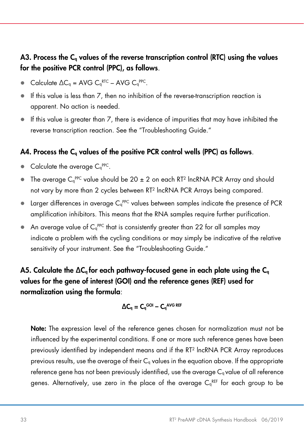#### A3. Process the C<sub>a</sub> values of the reverse transcription control (RTC) using the values for the positive PCR control (PPC), as follows.

- $\bullet$  Calculate  $\Delta C_q = \text{AVG } C_q^{\text{RTC}} \text{AVG } C_q^{\text{PPC}}.$
- $\bullet$  If this value is less than  $7$ , then no inhibition of the reverse-transcription reaction is apparent. No action is needed.
- $\bullet$  If this value is greater than  $7$ , there is evidence of impurities that may have inhibited the reverse transcription reaction. See the ["Troubleshooting Guide."](#page-29-0)

#### A4. Process the C<sub>a</sub> values of the positive PCR control wells (PPC) as follows.

- Calculate the average  $C_q^{PPC}$ .
- $\bullet$  The average C<sub>q</sub><sup>ppc</sup> value should be 20  $\pm$  2 on each RT<sup>2</sup> lncRNA PCR Array and should not vary by more than 2 cycles between RT2 lncRNA PCR Arrays being compared.
- **Example 1** Larger differences in average  $C_q^{PPC}$  values between samples indicate the presence of PCR amplification inhibitors. This means that the RNA samples require further purification.
- $\bullet$  An average value of  $C_q^{PPC}$  that is consistently greater than 22 for all samples may indicate a problem with the cycling conditions or may simply be indicative of the relative sensitivity of your instrument. See the ["Troubleshooting Guide."](#page-29-0)

A5. Calculate the  $\Delta C_{q}$  for each pathway-focused gene in each plate using the  $C_{q}$ values for the gene of interest (GOI) and the reference genes (REF) used for normalization using the formula:

#### $\Delta\mathsf{C}_\mathsf{q}=\mathsf{C}_\mathsf{q}$ goi –  $\mathsf{C}_\mathsf{q}$ avg ref

Note: The expression level of the reference genes chosen for normalization must not be influenced by the experimental conditions. If one or more such reference genes have been previously identified by independent means and if the RT2 lncRNA PCR Array reproduces previous results, use the average of their  $C_q$  values in the equation above. If the appropriate reference gene has not been previously identified, use the average  $C<sub>a</sub>$  value of all reference genes. Alternatively, use zero in the place of the average C<sub>q</sub>REF for each group to be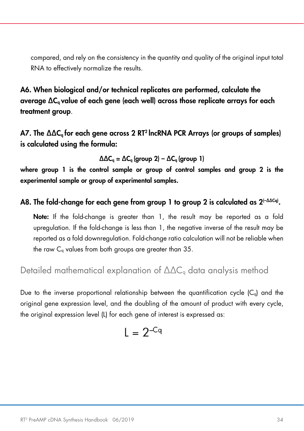compared, and rely on the consistency in the quantity and quality of the original input total RNA to effectively normalize the results.

A6. When biological and/or technical replicates are performed, calculate the average ∆Cq value of each gene (each well) across those replicate arrays for each treatment group.

A7. The ∆∆C<sub>a</sub> for each gene across 2 RT<sup>2</sup> lncRNA PCR Arrays (or groups of samples) is calculated using the formula:

 $\Delta\Delta C_q = \Delta C_q$  (group 2) –  $\Delta C_q$  (group 1)

where group 1 is the control sample or group of control samples and group 2 is the experimental sample or group of experimental samples.

#### A8. The fold-change for each gene from group 1 to group 2 is calculated as 2<sup>(-∆∆cq)</sup>.

Note: If the fold-change is greater than 1, the result may be reported as a fold upregulation. If the fold-change is less than 1, the negative inverse of the result may be reported as a fold downregulation. Fold-change ratio calculation will not be reliable when the raw  $C_q$  values from both groups are greater than  $35$ .

<span id="page-33-0"></span>Detailed mathematical explanation of  $\Delta\Delta C_{q}$  data analysis method

Due to the inverse proportional relationship between the quantification cycle  $(C_q)$  and the original gene expression level, and the doubling of the amount of product with every cycle, the original expression level (L) for each gene of interest is expressed as:

$$
L = 2^{-Cq}
$$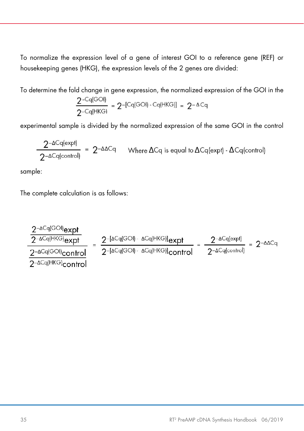To normalize the expression level of a gene of interest GOI to a reference gene (REF) or housekeeping genes (HKG), the expression levels of the 2 genes are divided:

To determine the fold change in gene expression, the normalized expression of the GOI in the

$$
\frac{2^{-Cq(GO1)}}{2^{-Cq(HKG)}} = 2^{-[Cq(GO1) - Cq(HKG)]} = 2^{-\Delta Cq}
$$

experimental sample is divided by the normalized expression of the same GOI in the control

$$
\frac{2^{-\Delta Cq\{expit\}}}{2^{-\Delta Cq\{control\}}}
$$
 = 2<sup>-{\Delta\Delta Cq</sup> Where \$\Delta Cq\$ is equal to \$\Delta Cq\{expit\}\$ - \$\Delta Cq\{control\}}

sample:

The complete calculation is as follows:

$$
\frac{2^{-\Delta Cq(GO||_{exp1})}}{2^{-\Delta Cq(HKG)}_{exp1}} = \frac{2^{-[\Delta Cq(GO|| - \Delta Cq(HKG)]_{exp1}})}{2^{-[\Delta Cq(GO|| - \Delta Cq(HKG)]_{contr0}]} = \frac{2^{-\Delta Cq(e\times pt)}}{2^{-\Delta Cq(control)}} = 2^{-\Delta\Delta Cq}
$$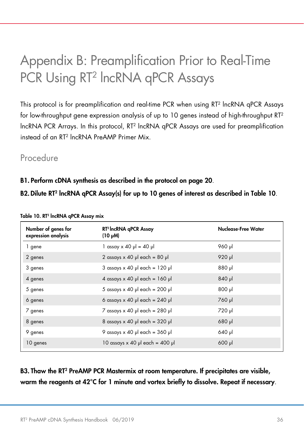## <span id="page-35-0"></span>Appendix B: Preamplification Prior to Real-Time PCR Using RT<sup>2</sup> IncRNA qPCR Assays

This protocol is for preamplification and real-time PCR when using RT2 lncRNA qPCR Assays for low-throughput gene expression analysis of up to 10 genes instead of high-throughput RT2 lncRNA PCR Arrays. In this protocol, RT2 lncRNA qPCR Assays are used for preamplification instead of an RT2 lncRNA PreAMP Primer Mix.

#### <span id="page-35-1"></span>Procedure

B1. Perform cDNA synthesis as described in the protocol on [page 20](#page-19-4).

B2. Dilute RT<sup>2</sup> lncRNA qPCR Assay(s) for up to 10 genes of interest as described i[n Table 10](#page-35-2).

| Number of genes for<br>expression analysis | RT <sup>2</sup> IncRNA qPCR Assay<br>(10 µM) | Nuclease-Free Water |
|--------------------------------------------|----------------------------------------------|---------------------|
| 1 gene                                     | $1$ assay x 40 $\mu$ = 40 $\mu$              | 960 µl              |
| 2 genes                                    | 2 assays $\times$ 40 µ each = 80 µ           | 920 µl              |
| 3 genes                                    | $3$ assays x 40 µ each = 120 µ               | lu 088              |
| 4 genes                                    | 4 assays $\times$ 40 µ each = 160 µ          | $840$ pl            |
| 5 genes                                    | 5 assays $\times$ 40 µl each = 200 µl        | lu <sub>008</sub>   |
| 6 genes                                    | 6 assays $\times$ 40 µ each = 240 µ          | 760 µl              |
| 7 genes                                    | 7 assays $\times$ 40 µl each = 280 µl        | 720 µl              |
| 8 genes                                    | 8 assays $\times$ 40 µ each = 320 µ          | 680 µl              |
| 9 genes                                    | 9 assays $\times$ 40 µ each = 360 µ          | 640 µl              |
| 10 genes                                   | 10 assays $\times$ 40 µ each = 400 µ         | $600$ $\mu$         |
|                                            |                                              |                     |

#### <span id="page-35-2"></span>Table 10. RT2 lncRNA qPCR Assay mix

B3. Thaw the RT2 PreAMP PCR Mastermix at room temperature. If precipitates are visible, warm the reagents at 42°C for 1 minute and vortex briefly to dissolve. Repeat if necessary.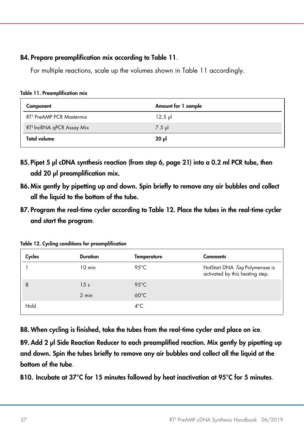#### B4. Prepare preamplification mix according to [Table 11](#page-36-0).

For multiple reactions, scale up the volumes shown in [Table 11](#page-36-0) accordingly.

| Component                             | Amount for 1 sample |
|---------------------------------------|---------------------|
| RT <sup>2</sup> PreAMP PCR Mastermix  | $12.5$ pl           |
| RT <sup>2</sup> IncRNA qPCR Assay Mix | $7.5 \mu$           |
| <b>Total volume</b>                   | ار 20               |

<span id="page-36-0"></span>Table 11. Preamplification mix

- B5. Pipet 5 µl cDNA synthesis reaction (from step 6, [page 21\)](#page-20-0) into a 0.2 ml PCR tube, then add 20 ul preamplification mix.
- B6. Mix gently by pipetting up and down. Spin briefly to remove any air bubbles and collect all the liquid to the bottom of the tube.
- B7. Program the real-time cycler according t[o Table 12.](#page-36-1) Place the tubes in the real-time cycler and start the program.

<span id="page-36-1"></span>Table 12. Cycling conditions for preamplification

| Cycles | <b>Duration</b>  | Temperature    | <b>Comments</b>                                                   |
|--------|------------------|----------------|-------------------------------------------------------------------|
|        | $10 \text{ min}$ | 95 $°C$        | HotStart DNA Tag Polymerase is<br>activated by this heating step. |
| 8      | 15 <sub>s</sub>  | $95^{\circ}$ C |                                                                   |
|        | $2 \text{ min}$  | $60^{\circ}$ C |                                                                   |
| Hold   |                  | $4^{\circ}$ C  |                                                                   |

B8. When cycling is finished, take the tubes from the real-time cycler and place on ice.

B9. Add 2 µl Side Reaction Reducer to each preamplified reaction. Mix gently by pipetting up and down. Spin the tubes briefly to remove any air bubbles and collect all the liquid at the bottom of the tube.

B10. Incubate at 37°C for 15 minutes followed by heat inactivation at 95°C for 5 minutes.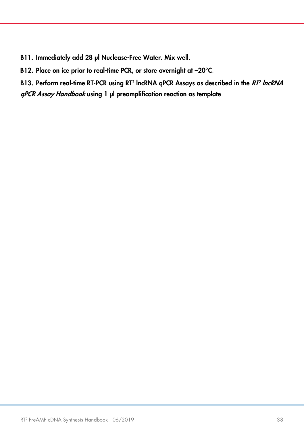- B11. Immediately add 28 µl Nuclease-Free Water. Mix well.
- B12. Place on ice prior to real-time PCR, or store overnight at -20°C.

B13. Perform real-time RT-PCR using RT<sup>2</sup> lncRNA qPCR Assays as described in the RT<sup>2</sup> lncRNA qPCR Assay Handbook using 1 µl preamplification reaction as template.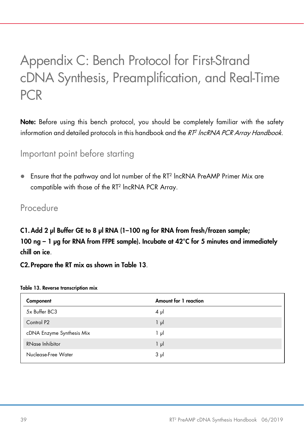## <span id="page-38-0"></span>Appendix C: Bench Protocol for First-Strand cDNA Synthesis, Preamplification, and Real-Time PCR

Note: Before using this bench protocol, you should be completely familiar with the safety information and detailed protocols in this handbook and the  $RT$  lncRNA PCR Array Handbook.

#### <span id="page-38-1"></span>Important point before starting

 Ensure that the pathway and lot number of the RT2 lncRNA PreAMP Primer Mix are compatible with those of the RT2 lncRNA PCR Array.

#### <span id="page-38-2"></span>Procedure

C1. Add 2 µl Buffer GE to 8 µl RNA (1-100 ng for RNA from fresh/frozen sample; 100 ng – 1  $\mu$ g for RNA from FFPE sample). Incubate at 42°C for 5 minutes and immediately chill on ice.

C2. Prepare the RT mix as shown in [Table 13](#page-38-3).

| Component                 | Amount for 1 reaction |
|---------------------------|-----------------------|
| 5x Buffer BC3             | $4 \mu$               |
| Control P <sub>2</sub>    | $1 \mu$               |
| cDNA Enzyme Synthesis Mix | 1 μl                  |
| RNase Inhibitor           | $1 \mu$               |
| Nuclease-Free Water       | $3 \mu$               |

#### <span id="page-38-3"></span>Table 13. Reverse transcription mix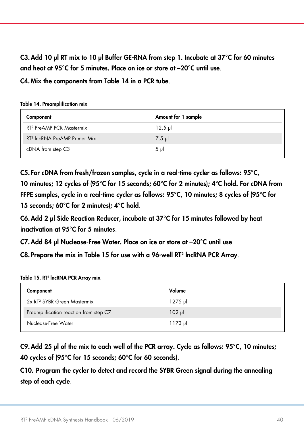C3.Add 10 µl RT mix to 10 µl Buffer GE-RNA from step 1. Incubate at 37°C for 60 minutes and heat at 95°C for 5 minutes. Place on ice or store at –20°C until use.

C4.Mix the components from [Table 14](#page-39-0) in a PCR tube.

<span id="page-39-0"></span>Table 14. Preamplification mix

| Component                                | Amount for 1 sample |
|------------------------------------------|---------------------|
| RT <sup>2</sup> PreAMP PCR Mastermix     | $12.5 \mu$          |
| RT <sup>2</sup> IncRNA PreAMP Primer Mix | $7.5$ $\mu$         |
| cDNA from step C3                        | $5 \text{ pl}$      |

C5. For cDNA from fresh/frozen samples, cycle in a real-time cycler as follows: 95°C, 10 minutes; 12 cycles of (95°C for 15 seconds; 60°C for 2 minutes); 4°C hold. For cDNA from FFPE samples, cycle in a real-time cycler as follows: 95°C, 10 minutes; 8 cycles of (95°C for 15 seconds; 60°C for 2 minutes); 4°C hold.

C6.Add 2 µl Side Reaction Reducer, incubate at 37°C for 15 minutes followed by heat inactivation at 95°C for 5 minutes.

C7.Add 84 µl Nuclease-Free Water. Place on ice or store at –20°C until use.

C8. Prepare the mix in [Table 15](#page-39-1) for use with a 96-well RT2 lncRNA PCR Array.

<span id="page-39-1"></span>Table 15. RT<sup>2</sup> IncRNA PCR Array mix

| Component                               | Volume      |
|-----------------------------------------|-------------|
| 2x RT <sup>2</sup> SYBR Green Mastermix | ار 1275     |
| Preamplification reaction from step C7  | $102$ $\mu$ |
| Nuclease-Free Water                     | ار 1173     |

C9.Add 25 µl of the mix to each well of the PCR array. Cycle as follows: 95°C, 10 minutes; 40 cycles of (95°C for 15 seconds; 60°C for 60 seconds).

C10. Program the cycler to detect and record the SYBR Green signal during the annealing step of each cycle.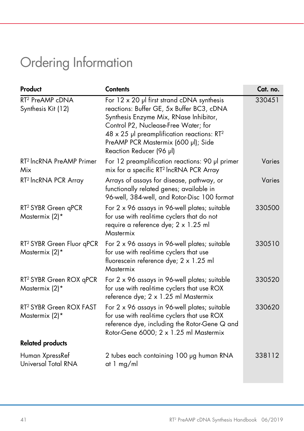## <span id="page-40-0"></span>Ordering Information

| Product                                                 | <b>Contents</b>                                                                                                                                                                                                                                                                                                     | Cat. no.      |
|---------------------------------------------------------|---------------------------------------------------------------------------------------------------------------------------------------------------------------------------------------------------------------------------------------------------------------------------------------------------------------------|---------------|
| RT <sup>2</sup> PreAMP cDNA<br>Synthesis Kit (12)       | For $12 \times 20$ µ first strand cDNA synthesis<br>reactions: Buffer GE, 5x Buffer BC3, cDNA<br>Synthesis Enzyme Mix, RNase Inhibitor,<br>Control P2, Nuclease-Free Water; for<br>$48 \times 25$ µl preamplification reactions: RT <sup>2</sup><br>PreAMP PCR Mastermix (600 µl); Side<br>Reaction Reducer (96 µl) | 330451        |
| RT <sup>2</sup> IncRNA PreAMP Primer<br>Mix             | For 12 preamplification reactions: 90 µl primer<br>mix for a specific RT <sup>2</sup> IncRNA PCR Array                                                                                                                                                                                                              | <b>Varies</b> |
| RT <sup>2</sup> IncRNA PCR Array                        | Arrays of assays for disease, pathway, or<br>functionally related genes; available in<br>96-well, 384-well, and Rotor-Disc 100 format                                                                                                                                                                               | Varies        |
| RT <sup>2</sup> SYBR Green qPCR<br>Mastermix (2)*       | For 2 x 96 assays in 96-well plates; suitable<br>for use with real-time cyclers that do not<br>require a reference dye; 2 x 1.25 ml<br>Mastermix                                                                                                                                                                    | 330500        |
| RT <sup>2</sup> SYBR Green Fluor qPCR<br>Mastermix (2)* | For 2 x 96 assays in 96-well plates; suitable<br>for use with real-time cyclers that use<br>fluorescein reference dye; 2 x 1.25 ml<br>Mastermix                                                                                                                                                                     | 330510        |
| RT <sup>2</sup> SYBR Green ROX qPCR<br>Mastermix (2)*   | For 2 x 96 assays in 96-well plates; suitable<br>for use with real-time cyclers that use ROX<br>reference dye; 2 x 1.25 ml Mastermix                                                                                                                                                                                | 330520        |
| RT <sup>2</sup> SYBR Green ROX FAST<br>Mastermix (2)*   | For 2 x 96 assays in 96-well plates; suitable<br>for use with real-time cyclers that use ROX<br>reference dye, including the Rotor-Gene Q and<br>Rotor-Gene 6000; 2 x 1.25 ml Mastermix                                                                                                                             | 330620        |
| <b>Related products</b>                                 |                                                                                                                                                                                                                                                                                                                     |               |
| Human XpressRef<br>Universal Total RNA                  | 2 tubes each containing 100 µg human RNA<br>at 1 mg/ml                                                                                                                                                                                                                                                              | 338112        |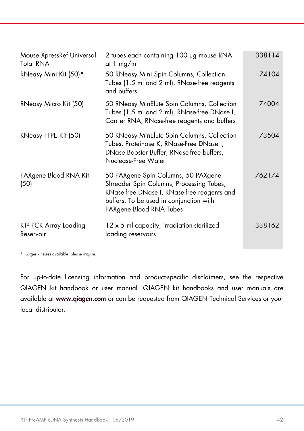| Mouse XpressRef Universal<br><b>Total RNA</b>  | 2 tubes each containing 100 µg mouse RNA<br>at 1 mg/ml                                                                                                                                               | 338114 |
|------------------------------------------------|------------------------------------------------------------------------------------------------------------------------------------------------------------------------------------------------------|--------|
| RNeasy Mini Kit (50)*                          | 50 RNeasy Mini Spin Columns, Collection<br>Tubes (1.5 ml and 2 ml), RNase-free reagents<br>and buffers                                                                                               | 74104  |
| RNeasy Micro Kit (50)                          | 50 RNeasy MinElute Spin Columns, Collection<br>Tubes (1.5 ml and 2 ml), RNase-free DNase I,<br>Carrier RNA, RNase-free reagents and buffers                                                          | 74004  |
| RNeasy FFPE Kit (50)                           | 50 RNeasy MinElute Spin Columns, Collection<br>Tubes, Proteinase K, RNase-Free DNase I,<br>DNase Booster Buffer, RNase-free buffers,<br>Nuclease-Free Water                                          | 73504  |
| PAXgene Blood RNA Kit<br>(50)                  | 50 PAXgene Spin Columns, 50 PAXgene<br>Shredder Spin Columns, Processing Tubes,<br>RNase-free DNase I, RNase-free reagents and<br>buffers. To be used in conjunction with<br>PAXgene Blood RNA Tubes | 762174 |
| RT <sup>2</sup> PCR Array Loading<br>Reservoir | 12 x 5 ml capacity, irradiation-sterilized<br>loading reservoirs                                                                                                                                     | 338162 |

\* Larger kit sizes available; please inquire.

For up-to-date licensing information and product-specific disclaimers, see the respective QIAGEN kit handbook or user manual. QIAGEN kit handbooks and user manuals are available at [www.qiagen.com](https://www.qiagen.com/us/) or can be requested from QIAGEN Technical Services or your local distributor.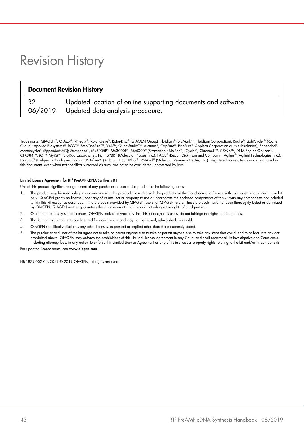## <span id="page-42-0"></span>Revision History

| <b>Document Revision History</b> |                                                               |  |
|----------------------------------|---------------------------------------------------------------|--|
| R2                               | Updated location of online supporting documents and software. |  |
| 06/2019                          | Updated data analysis procedure.                              |  |

Trademarks: QIAGEN®, QIAzol®, RNeasy®, Rotor-Gene®, Rotor-Disc® (QIAGEN Group); Fluidigm®, BioMark™ (Fluidigm Corporation); Roche®, LightCycler® (Roche<br>Group); Applied Biosystems®, ROX™, StepOnePlus™, ViiA™, QuantStudio™, Mastercycler® (Eppendorf AG); Stratagene®, Mx3005P®, Mx3000P®, Mx4000® (Stratagene); Bio-Rad®, iCycler®, Chromo4™, CFX96™, DNA Engine Opticon®, CFX384™, iQ™, MyiQ™ (Bio-Rad Laboratories, Inc.); SYBR® (Molecular Probes, Inc.); FACS® (Becton Dickinson and Company); Agilent® (Agilent Technologies, Inc.); LabChip® (Caliper Technologies Corp.); DNA-free™ (Ambion, Inc.); TRlzol®, RNAzol® (Molecular Research Center, Inc.). Registered names, trademarks, etc. used in this document, even when not specifically marked as such, are not to be considered unprotected by law.

#### Limited License Agreement for RT2 PreAMP cDNA Synthesis Kit

Use of this product signifies the agreement of any purchaser or user of the product to the following terms:

- 1. The product may be used solely in accordance with the protocols provided with the product and this handbook and for use with components contained in the kit only. QIAGEN grants no license under any of its intellectual property to use or incorporate the enclosed components of this kit with any components not included within this kit except as described in the protocols provided by QIAGEN users for QIAGEN users. These protocols have not been thoroughly tested or optimized by QIAGEN. QIAGEN neither guarantees them nor warrants that they do not infringe the rights of third parties.
- 2. Other than expressly stated licenses, QIAGEN makes no warranty that this kit and/or its use(s) do not infringe the rights of third-parties.
- 3. This kit and its components are licensed for one-time use and may not be reused, refurbished, or resold.
- 4. QIAGEN specifically disclaims any other licenses, expressed or implied other than those expressly stated.
- 5. The purchaser and user of the kit agree not to take or permit anyone else to take or permit anyone else to take any steps that could lead to or facilitate any acts<br>prohibited above. QIAGEN may enforce the prohibitions o including attorney fees, in any action to enforce this Limited License Agreement or any of its intellectual property rights relating to the kit and/or its components.

For updated license terms, see [www.qiagen.com](http://www.qiagen.com/).

HB-1879-002 06/2019 © 2019 QIAGEN, all rights reserved.